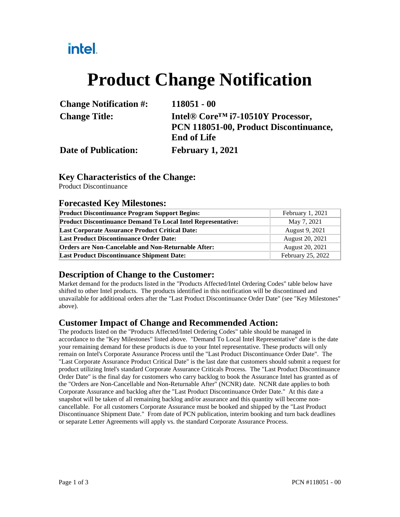## intel.

# **Product Change Notification**

| <b>Change Notification #:</b> | $118051 - 00$                                              |
|-------------------------------|------------------------------------------------------------|
| <b>Change Title:</b>          | Intel <sup>®</sup> Core <sup>TM</sup> i7-10510Y Processor, |
|                               | PCN 118051-00, Product Discontinuance,                     |
|                               | <b>End of Life</b>                                         |
| <b>Date of Publication:</b>   | <b>February 1, 2021</b>                                    |

#### **Key Characteristics of the Change:**

Product Discontinuance

#### **Forecasted Key Milestones:**

| <b>Product Discontinuance Program Support Begins:</b>               | February 1, 2021  |  |
|---------------------------------------------------------------------|-------------------|--|
| <b>Product Discontinuance Demand To Local Intel Representative:</b> | May 7, 2021       |  |
| <b>Last Corporate Assurance Product Critical Date:</b>              | August 9, 2021    |  |
| <b>Last Product Discontinuance Order Date:</b>                      | August 20, 2021   |  |
| <b>Orders are Non-Cancelable and Non-Returnable After:</b>          | August 20, 2021   |  |
| <b>Last Product Discontinuance Shipment Date:</b>                   | February 25, 2022 |  |

#### **Description of Change to the Customer:**

Market demand for the products listed in the "Products Affected/Intel Ordering Codes" table below have shifted to other Intel products. The products identified in this notification will be discontinued and unavailable for additional orders after the "Last Product Discontinuance Order Date" (see "Key Milestones" above).

#### **Customer Impact of Change and Recommended Action:**

The products listed on the "Products Affected/Intel Ordering Codes" table should be managed in accordance to the "Key Milestones" listed above. "Demand To Local Intel Representative" date is the date your remaining demand for these products is due to your Intel representative. These products will only remain on Intel's Corporate Assurance Process until the "Last Product Discontinuance Order Date". The "Last Corporate Assurance Product Critical Date" is the last date that customers should submit a request for product utilizing Intel's standard Corporate Assurance Criticals Process. The "Last Product Discontinuance Order Date" is the final day for customers who carry backlog to book the Assurance Intel has granted as of the "Orders are Non-Cancellable and Non-Returnable After" (NCNR) date. NCNR date applies to both Corporate Assurance and backlog after the "Last Product Discontinuance Order Date." At this date a snapshot will be taken of all remaining backlog and/or assurance and this quantity will become noncancellable. For all customers Corporate Assurance must be booked and shipped by the "Last Product Discontinuance Shipment Date." From date of PCN publication, interim booking and turn back deadlines or separate Letter Agreements will apply vs. the standard Corporate Assurance Process.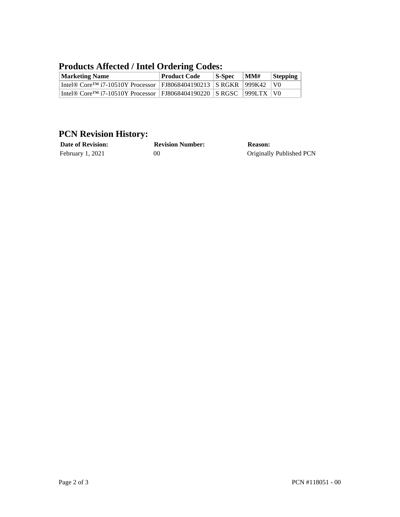#### **Products Affected / Intel Ordering Codes:**

| <b>Marketing Name</b>                                                                  | <b>Product Code</b> | $\vert$ S-Spec | $\mathbf{M}$ M $\mathbf{\#}$ | Stepping       |
|----------------------------------------------------------------------------------------|---------------------|----------------|------------------------------|----------------|
| Intel® Core <sup>TM</sup> i7-10510Y Processor   FJ8068404190213   S RGKR   999K42      |                     |                |                              | $\overline{V}$ |
| Intel® Core <sup>TM</sup> i7-10510Y Processor   FJ8068404190220   S RGSC   999LTX   V0 |                     |                |                              |                |

### **PCN Revision History:**

| <b>Date of Revision:</b> | <b>Revision Number:</b> | Reason:                  |
|--------------------------|-------------------------|--------------------------|
| February 1, 2021         | 00                      | Originally Published PCN |